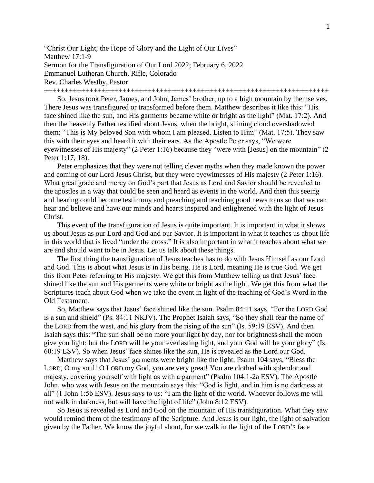"Christ Our Light; the Hope of Glory and the Light of Our Lives" Matthew 17:1-9 Sermon for the Transfiguration of Our Lord 2022; February 6, 2022 Emmanuel Lutheran Church, Rifle, Colorado Rev. Charles Westby, Pastor

+++++++++++++++++++++++++++++++++++++++++++++++++++++++++++++++++++++

So, Jesus took Peter, James, and John, James' brother, up to a high mountain by themselves. There Jesus was transfigured or transformed before them. Matthew describes it like this: "His face shined like the sun, and His garments became white or bright as the light" (Mat. 17:2). And then the heavenly Father testified about Jesus, when the bright, shining cloud overshadowed them: "This is My beloved Son with whom I am pleased. Listen to Him" (Mat. 17:5). They saw this with their eyes and heard it with their ears. As the Apostle Peter says, "We were eyewitnesses of His majesty" (2 Peter 1:16) because they "were with [Jesus] on the mountain" (2 Peter 1:17, 18).

Peter emphasizes that they were not telling clever myths when they made known the power and coming of our Lord Jesus Christ, but they were eyewitnesses of His majesty (2 Peter 1:16). What great grace and mercy on God's part that Jesus as Lord and Savior should be revealed to the apostles in a way that could be seen and heard as events in the world. And then this seeing and hearing could become testimony and preaching and teaching good news to us so that we can hear and believe and have our minds and hearts inspired and enlightened with the light of Jesus Christ.

This event of the transfiguration of Jesus is quite important. It is important in what it shows us about Jesus as our Lord and God and our Savior. It is important in what it teaches us about life in this world that is lived "under the cross." It is also important in what it teaches about what we are and should want to be in Jesus. Let us talk about these things.

The first thing the transfiguration of Jesus teaches has to do with Jesus Himself as our Lord and God. This is about what Jesus is in His being. He is Lord, meaning He is true God. We get this from Peter referring to His majesty. We get this from Matthew telling us that Jesus' face shined like the sun and His garments were white or bright as the light. We get this from what the Scriptures teach about God when we take the event in light of the teaching of God's Word in the Old Testament.

So, Matthew says that Jesus' face shined like the sun. Psalm 84:11 says, "For the LORD God is a sun and shield" (Ps. 84:11 NKJV). The Prophet Isaiah says, "So they shall fear the name of the LORD from the west, and his glory from the rising of the sun" (Is. 59:19 ESV). And then Isaiah says this: "The sun shall be no more your light by day, nor for brightness shall the moon give you light; but the LORD will be your everlasting light, and your God will be your glory" (Is. 60:19 ESV). So when Jesus' face shines like the sun, He is revealed as the Lord our God.

Matthew says that Jesus' garments were bright like the light. Psalm 104 says, "Bless the LORD, O my soul! O LORD my God, you are very great! You are clothed with splendor and majesty, covering yourself with light as with a garment" (Psalm 104:1-2a ESV). The Apostle John, who was with Jesus on the mountain says this: "God is light, and in him is no darkness at all" (1 John 1:5b ESV). Jesus says to us: "I am the light of the world. Whoever follows me will not walk in darkness, but will have the light of life" (John 8:12 ESV).

So Jesus is revealed as Lord and God on the mountain of His transfiguration. What they saw would remind them of the testimony of the Scripture. And Jesus is our light, the light of salvation given by the Father. We know the joyful shout, for we walk in the light of the LORD'S face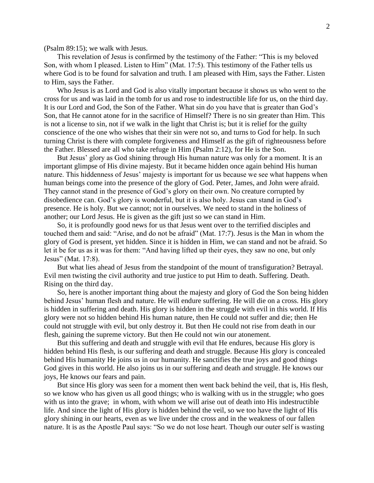(Psalm 89:15); we walk with Jesus.

This revelation of Jesus is confirmed by the testimony of the Father: "This is my beloved Son, with whom I pleased. Listen to Him" (Mat. 17:5). This testimony of the Father tells us where God is to be found for salvation and truth. I am pleased with Him, says the Father. Listen to Him, says the Father.

Who Jesus is as Lord and God is also vitally important because it shows us who went to the cross for us and was laid in the tomb for us and rose to indestructible life for us, on the third day. It is our Lord and God, the Son of the Father. What sin do you have that is greater than God's Son, that He cannot atone for in the sacrifice of Himself? There is no sin greater than Him. This is not a license to sin, not if we walk in the light that Christ is; but it is relief for the guilty conscience of the one who wishes that their sin were not so, and turns to God for help. In such turning Christ is there with complete forgiveness and Himself as the gift of righteousness before the Father. Blessed are all who take refuge in Him (Psalm 2:12), for He is the Son.

But Jesus' glory as God shining through His human nature was only for a moment. It is an important glimpse of His divine majesty. But it became hidden once again behind His human nature. This hiddenness of Jesus' majesty is important for us because we see what happens when human beings come into the presence of the glory of God. Peter, James, and John were afraid. They cannot stand in the presence of God's glory on their own. No creature corrupted by disobedience can. God's glory is wonderful, but it is also holy. Jesus can stand in God's presence. He is holy. But we cannot; not in ourselves. We need to stand in the holiness of another; our Lord Jesus. He is given as the gift just so we can stand in Him.

So, it is profoundly good news for us that Jesus went over to the terrified disciples and touched them and said: "Arise, and do not be afraid" (Mat. 17:7). Jesus is the Man in whom the glory of God is present, yet hidden. Since it is hidden in Him, we can stand and not be afraid. So let it be for us as it was for them: "And having lifted up their eyes, they saw no one, but only Jesus" (Mat. 17:8).

But what lies ahead of Jesus from the standpoint of the mount of transfiguration? Betrayal. Evil men twisting the civil authority and true justice to put Him to death. Suffering. Death. Rising on the third day.

So, here is another important thing about the majesty and glory of God the Son being hidden behind Jesus' human flesh and nature. He will endure suffering. He will die on a cross. His glory is hidden in suffering and death. His glory is hidden in the struggle with evil in this world. If His glory were not so hidden behind His human nature, then He could not suffer and die; then He could not struggle with evil, but only destroy it. But then He could not rise from death in our flesh, gaining the supreme victory. But then He could not win our atonement.

But this suffering and death and struggle with evil that He endures, because His glory is hidden behind His flesh, is our suffering and death and struggle. Because His glory is concealed behind His humanity He joins us in our humanity. He sanctifies the true joys and good things God gives in this world. He also joins us in our suffering and death and struggle. He knows our joys, He knows our fears and pain.

But since His glory was seen for a moment then went back behind the veil, that is, His flesh, so we know who has given us all good things; who is walking with us in the struggle; who goes with us into the grave; in whom, with whom we will arise out of death into His indestructible life. And since the light of His glory is hidden behind the veil, so we too have the light of His glory shining in our hearts, even as we live under the cross and in the weakness of our fallen nature. It is as the Apostle Paul says: "So we do not lose heart. Though our outer self is wasting